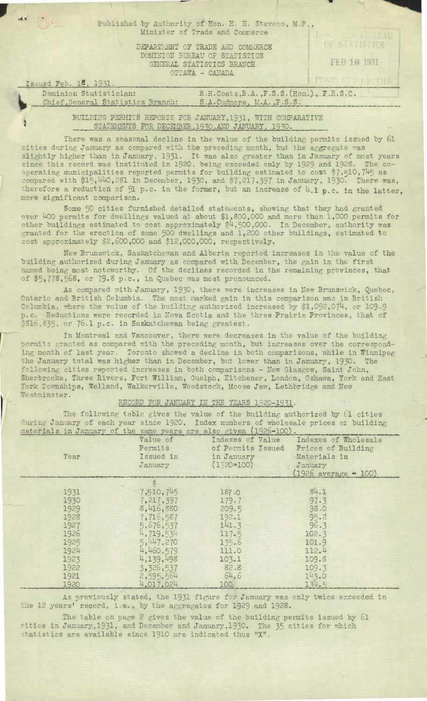$\frac{1}{2}$ Published by Authority of Hon. H. H. Stevens, M.P., Minister of Trade and Commerce OF STATISTICS DEPARTMENT OF TRADE AND COMMERCE DOMINION BUREAU OP STATISTICS GENERAL STATISTICS BRANCH **FEB 18 1931** OTTAWA - CANADA Ed Feb. 15, 1931.<br>
Dominion Statistician: R.H.Coats,B.A.,F.S.S.(Hon.), F.R.S.C.<br>
Chief, General Statistics Branch: S.A.Cudmore, M.A.,F.S.S. Issued Feb. 13, 1931. Chief, General Statistics Branch:

BUILDING PERMITS REPORTS FOR JANUARY, 1931, WITH COMPARATIVE STATEMENTS FOR DECEMBER, 1930, AND JANUARY, 1930.

 $\mathbf{A}$ 

There was a seasonal decline in the value of the building permits issued by 61 cities during January as compared with the preceding month, but the aggregate was slightly higher than in January, 1931. It was also greater than in January of most years since this record was instituted in 1920,being exceeded only by 1929 and 1928. The cooperating municipalities reported permits for building estimated to  $cost$  \$7,510,745 as compared with \$15,440,281 in December, 1930, and \$7,217,397 in January, *1930.* There was, therefore a reduction of 51 p.c. in the former, but an increase of 4.1 p.c. in the latter, more significant Comparison.

Some 50 cities furnished detailed statements, showing that they had granted over 400 permits for dwellings valued at about \$1,300,000 and more than 1,000 permits for other buildings estimated to cost approximately \$14,500,000. In December, authority was granted for the erection of some 500 *dwellings* and 1,200 other buildings, estimated to cost approximately \$2,600,000 and \$12,000,000, respectively.

New Brunswick, Saskatchewan and Alberta reported increases in the value of the building authorized during January as compared with December, the gain in the first named being most noteworthy. Of the declines recorded in the remaining provinces, that of \$5,773,568, or 79.8 p.c., in Quebec was most pronounced.

As compared with January, 1930, there were increases in New Brunswick, Quebec, Ontario and British Columbia. The most marked gain in this comparison was in British Columbia, where the value of the building authorized increased by \$1,092,074, or 109.9 p.c. Reductions were recorded in Nova Scotia and the three Prairie Provinces, that of \$816,835, or 76.1 p.c. in Saskatchewan being greatest.

In Montreal and Vancouver, there were decreases in the value of the building permits granted as compared with the preceding month, but increases over the corresponding month of last year. Toronto showed a decline in both comparisons, while in Winnipeg the January total was higher than in December, but lower than in January, 1930. The following cities reported increases in both comparisons - New Glasgow, Saint John, Sherbrooke, Three Rivers, Fort William, Guelph, Xitchener, London, Oshawa, York and East York Townships, Welland, Walkerville, Woodstock, Moose Jaw, Lethbridge and New 7estminster.

|      |             |                                                                      | caring January of each year since 1920, Index humbers of wholesale prices of building |
|------|-------------|----------------------------------------------------------------------|---------------------------------------------------------------------------------------|
|      |             | materials in January of the same years are also given $(1926-100)$ . |                                                                                       |
|      | Value of    | Indexes of Value                                                     | Indexes of Wholesale                                                                  |
|      | Permits     | of Permits Issued                                                    | Prices of Building                                                                    |
| Year | Issued in   | in January                                                           | Materials in                                                                          |
|      | January     | $(1920=100)$                                                         | January                                                                               |
|      |             |                                                                      | $(1926 \text{ average} - 100)$                                                        |
|      |             |                                                                      |                                                                                       |
| 1931 | 7,510,745   | 187.0                                                                | 84.1                                                                                  |
| 1930 | 7, 217, 397 | 179.7                                                                | 97.3                                                                                  |
| 1929 | 8,416,880   | 209.5                                                                | 98.0                                                                                  |
| 1928 | 7,716,587   | 192.1                                                                | 95.2                                                                                  |
| 1927 | 5,676,537   | 141.3                                                                | 96.3                                                                                  |
| 1926 | 4,719,534   | 117.5                                                                | 102.3                                                                                 |
| 1925 | 5,447,270   | 135.6                                                                | 101.9                                                                                 |
| 1924 | 4,460,579   | 111.0                                                                | 112.4                                                                                 |
| 1923 | 4,139,498   | 103.1                                                                | 109.8                                                                                 |
| 1922 | 3,326,537   | 82.8                                                                 | 109.3                                                                                 |
| 1921 | 2,595,564   | 64.6                                                                 | 143.0                                                                                 |
| 1920 | 4,017,024   | 100.                                                                 | 134.5                                                                                 |
|      |             |                                                                      |                                                                                       |

The following table gives the value of the building authorized by *Cl* cities turing January of each year since 1920. Index numbers of wholesale prices oi building

RECORD FOR JANUARY IN THE YEARS 1920-1931.

As previously stated, the 1931 figure for January was only twice exceeded in the 12 years' record, i.e., *by* the aggregates for 1929 and 1928.

The table on page 2 gives the value of the building permits issued by 61 cities in January, 1931, and December and January, 1930. The 35 cities for which statistics are available since 1910 are indicated thus "X".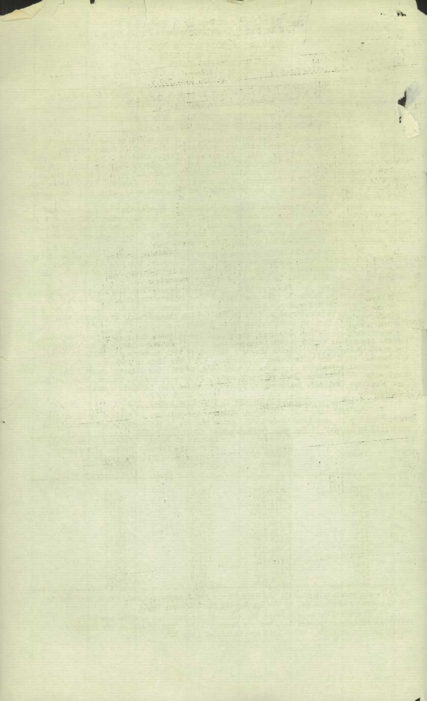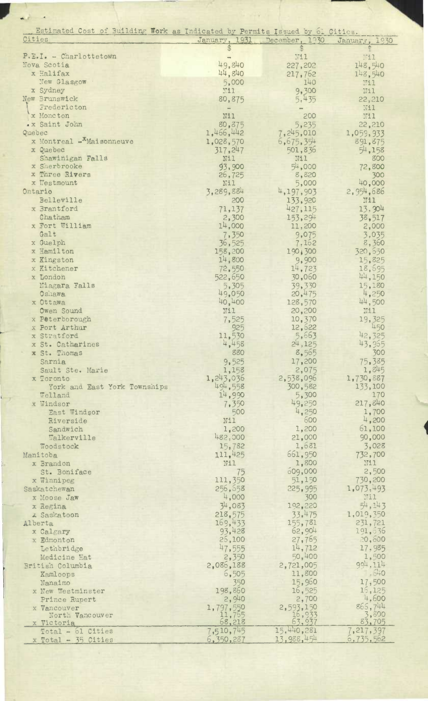| Estimated Cost of Building Work as Indicated by Permits Issued by 61 Cities.<br>Cities | January, 1931        |                     |                      |
|----------------------------------------------------------------------------------------|----------------------|---------------------|----------------------|
|                                                                                        |                      | December, 1930<br>S | January, 1930        |
| P.E.I. - Charlottetown                                                                 |                      | N11                 | 111                  |
| Nova Scotia                                                                            | 49,840               | 227,202             | 148,540              |
| x Halifax                                                                              | 44.840               | 217,762             | 148,540              |
| New Glasgow                                                                            | 5,000                | 140                 | Mil                  |
| x Sydney<br>New Brunswick                                                              | Nil                  | 9,300<br>5.435      | Nil                  |
| Fredericton                                                                            | 80,875               |                     | 22,210<br>Ni1        |
| x Moncton                                                                              | N11                  | 200                 | N11                  |
| .x Saint John                                                                          | 80, 375              | 5,235               | 22,210               |
| Quebec                                                                                 | 1,466,442            | 7,245,010           | 1,059,933            |
| x Montreal - Maisonneuve                                                               | 1,028,570            | 6,675,354           | 891,875              |
| x Quebec                                                                               | 317,247              | 501,836             | 54,158               |
| Shawinigan Falls<br>x Sherbrooke                                                       | Nil<br>93,900        | Nil<br>54,000       | 800<br>72,800        |
| x Three Rivers                                                                         | 26,725               | 8,820               | 300                  |
| x Westmount                                                                            | Nil                  | 5,000               | 40,000               |
| Ontario                                                                                | 3,289,884            | 4,197,903           | 2, 954, 686          |
| Belleville                                                                             | 200                  | 133,920             | M11                  |
| x Brantford                                                                            | 71,137               | 427,115             | 13, 904              |
| Chatham                                                                                | 2,300                | 153,294             | 38,517               |
| x Fort William                                                                         | 14,000               | 11,200              | 2,000                |
| Galt<br>x Guelph                                                                       | 7,350<br>36,525      | 9,075<br>7,162      | 3,035<br>8,360       |
| x Hamilton                                                                             | 158,200              | 190,300             | 320, 550             |
| x Kingston                                                                             | 14,800               | 9,900               | 15,825               |
| x Kitchener                                                                            | 72,550               | 14,723              | 18,595               |
| x London                                                                               | 522,650              | 30,060              | 44,150               |
| Miagara Falls                                                                          | 5,305                | 39,330              | 15,180               |
| Oshawa                                                                                 | 49,050               | 20,475              | 4,250                |
| x Ottawa                                                                               | 40,400               | 128,570             | 44,500               |
| Owen Sound<br>x Peterborough                                                           | Nil<br>7,525         | 20,200<br>10,370    | Nil<br>19,325        |
| x Port Arthur                                                                          | 925                  | 12,622              | 450                  |
| x Stratford                                                                            | 11,530               | 5,663               | 42,325               |
| x St. Catharines                                                                       | 4,458                | 24, 125             | 43,965               |
| x St. Thomas                                                                           | 880                  | 8,565               | 300                  |
| Sarnia                                                                                 | 9,525                | 17,200              | 75,385               |
| Sault Ste. Marie                                                                       | 1,158                | 2,075               | 1,845                |
| x Toronto                                                                              | 1,243,036<br>494,558 | 2,538,096           | 1,730,887<br>133,100 |
| York and East York Townships<br>Welland                                                | 14,990               | 300,582<br>5,300    | 170                  |
| x Windsor                                                                              | 7,350                | 49,250              | 217,840              |
| East Windsor                                                                           | 500                  | 4,250               | 1,700                |
| Riverside                                                                              | N11                  | 600                 | 4,200                |
| Sandwich                                                                               | 1,200                | 1,200               | 61,100               |
| Walkerville                                                                            | 482,000              | 21,000              | 90,000               |
| Woodstock                                                                              | 15,782               | 1,681<br>661,950    | 3,028                |
| Manitoba<br>x Brandon                                                                  | 111,425<br>Nil       | 1,800               | 732,700<br>N11       |
| St. Boniface                                                                           | 75                   | 609,000             | 2,500                |
| x Winnipeg                                                                             | 111,350              | 51,150              | 730,200              |
| Saskatchewan                                                                           | 256,558              | 225,995             | 1,073,493            |
| x Moose Jaw                                                                            | 4,000                | 300                 | Nil                  |
| x Regina                                                                               | 34,083               | 192,220             | 54,143               |
| * Saskatoon                                                                            | 218,575              | 33,475              | 1,019,350            |
| Alberta                                                                                | 169,433<br>93,428    | 155,781             | 231,721              |
| x Calgary<br><b>x</b> Edmonton                                                         | 25,100               | 62,904<br>27,765    | 191,636<br>20,600    |
| Lethbridge                                                                             | 47,555               | 14,712              | 17,985               |
| Medicine Hat                                                                           | 2,350                | 50,400              | 1,500                |
| British Columbia                                                                       | 2,086,188            | 2,721,005           | 904.114              |
| Kamloops                                                                               | 6,505                | 11,800              | $-540$               |
| Nanaimo                                                                                | 350                  | 15,960              | 17,500               |
| x New Westminster                                                                      | 198,860              | 16,525              | 15, 125              |
| Prince Rupert                                                                          | 2,940                | 2,700<br>2,593,150  | 4,600<br>865,744     |
| x Vancouver<br>North Vancouver                                                         | 1,797,550<br>11,765  | 16,933              | 3,800                |
| x Victoria                                                                             | 68,218               | 63,937              | 83,705               |
| Total - 61 Cities                                                                      | 7,510,745            | 15,440,281          | 7,217,397            |
| $x$ Total - 35 Cities                                                                  | 6.350.287            | 13.988.454          | 6.735.562            |